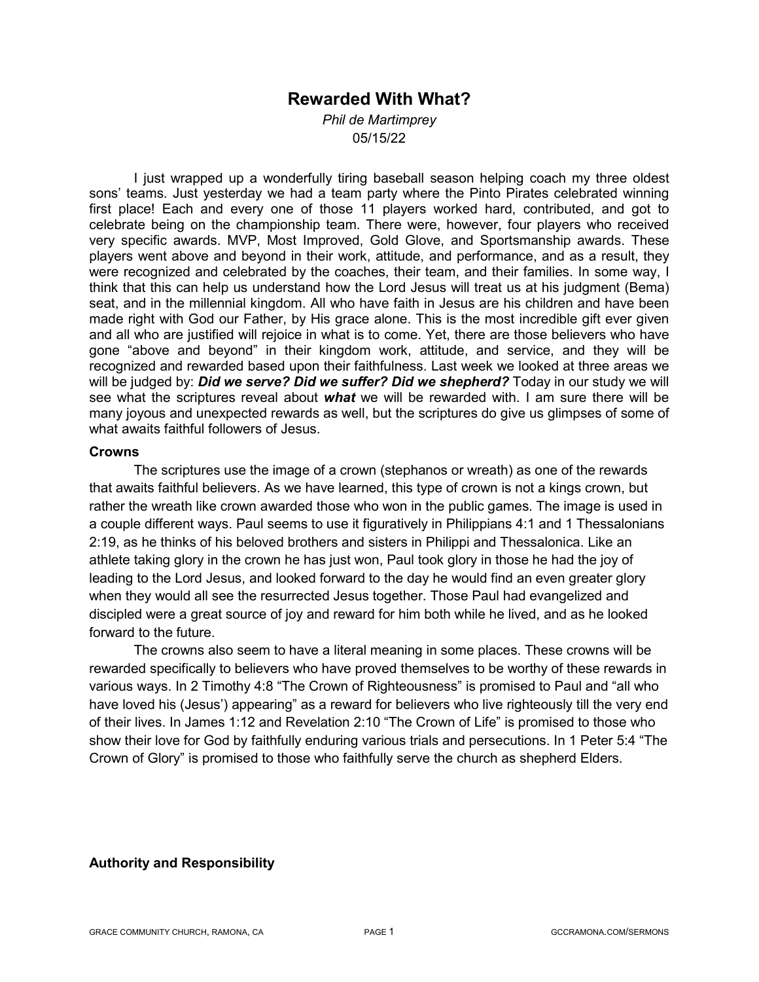# **Rewarded With What?**

*Phil de Martimprey* 05/15/22

I just wrapped up a wonderfully tiring baseball season helping coach my three oldest sons' teams. Just yesterday we had a team party where the Pinto Pirates celebrated winning first place! Each and every one of those 11 players worked hard, contributed, and got to celebrate being on the championship team. There were, however, four players who received very specific awards. MVP, Most Improved, Gold Glove, and Sportsmanship awards. These players went above and beyond in their work, attitude, and performance, and as a result, they were recognized and celebrated by the coaches, their team, and their families. In some way, I think that this can help us understand how the Lord Jesus will treat us at his judgment (Bema) seat, and in the millennial kingdom. All who have faith in Jesus are his children and have been made right with God our Father, by His grace alone. This is the most incredible gift ever given and all who are justified will rejoice in what is to come. Yet, there are those believers who have gone "above and beyond" in their kingdom work, attitude, and service, and they will be recognized and rewarded based upon their faithfulness. Last week we looked at three areas we will be judged by: *Did we serve? Did we suffer? Did we shepherd?* Today in our study we will see what the scriptures reveal about *what* we will be rewarded with. I am sure there will be many joyous and unexpected rewards as well, but the scriptures do give us glimpses of some of what awaits faithful followers of Jesus.

#### **Crowns**

The scriptures use the image of a crown (stephanos or wreath) as one of the rewards that awaits faithful believers. As we have learned, this type of crown is not a kings crown, but rather the wreath like crown awarded those who won in the public games. The image is used in a couple different ways. Paul seems to use it figuratively in Philippians 4:1 and 1 Thessalonians 2:19, as he thinks of his beloved brothers and sisters in Philippi and Thessalonica. Like an athlete taking glory in the crown he has just won, Paul took glory in those he had the joy of leading to the Lord Jesus, and looked forward to the day he would find an even greater glory when they would all see the resurrected Jesus together. Those Paul had evangelized and discipled were a great source of joy and reward for him both while he lived, and as he looked forward to the future.

The crowns also seem to have a literal meaning in some places. These crowns will be rewarded specifically to believers who have proved themselves to be worthy of these rewards in various ways. In 2 Timothy 4:8 "The Crown of Righteousness" is promised to Paul and "all who have loved his (Jesus') appearing" as a reward for believers who live righteously till the very end of their lives. In James 1:12 and Revelation 2:10 "The Crown of Life" is promised to those who show their love for God by faithfully enduring various trials and persecutions. In 1 Peter 5:4 "The Crown of Glory" is promised to those who faithfully serve the church as shepherd Elders.

#### **Authority and Responsibility**